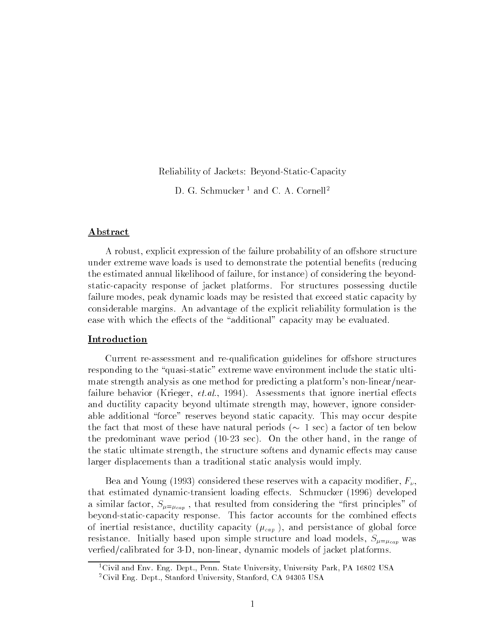Reliability of Jackets: Beyond-Static-Capacity

D. G. Schmucker<sup>1</sup> and C. A. Cornell<sup>2</sup>

### Abstract

A robust, explicit expression of the failure probability of an offshore structure under extreme wave loads is used to demonstrate the potential benefits (reducing the estimated annual likelihood of failure, for instance) of considering the beyondstatic-capacity response of jacket platforms. For structures possessing ductile failure modes, peak dynamic loads may be resisted that exceed static capacity by considerable margins. An advantage of the explicit reliability formulation is the ease with which the effects of the "additional" capacity may be evaluated.

### **Introduction**

Current re-assessment and re-qualification guidelines for offshore structures responding to the "quasi-static" extreme wave environment include the static ultimate strength analysis as one method for predicting a platform's non-linear/nearfailure behavior (Krieger,  $et.al.$ , 1994). Assessments that ignore inertial effects and ductility capacity beyond ultimate strength may, however, ignore considerable additional "force" reserves beyond static capacity. This may occur despite the fact that most of these have natural periods ( $\sim 1$  sec) a factor of ten below the predominant wave period (10-23 sec). On the other hand, in the range of the static ultimate strength, the structure softens and dynamic effects may cause larger displacements than a traditional static analysis would imply.

Bea and Young (1993) considered these reserves with a capacity modifier,  $F_{\nu}$ , that estimated dynamic-transient loading effects. Schmucker (1996) developed a similar factor,  $S_{\mu=\mu_{cap}}$ , that resulted from considering the "first principles" of beyond-static-capacity response. This factor accounts for the combined effects of inertial resistance, ductility capacity  $(\mu_{cap})$ , and persistance of global force resistance. Initially based upon simple structure and load models,  $S_{\mu=\mu_{cap}}$  was verfied/calibrated for 3-D, non-linear, dynamic models of jacket platforms.

<sup>&</sup>lt;sup>1</sup>Civil and Env. Eng. Dept., Penn. State University, University Park, PA 16802 USA 2Civil Eng. Dept., Stanford University, Stanford, CA 94305 USA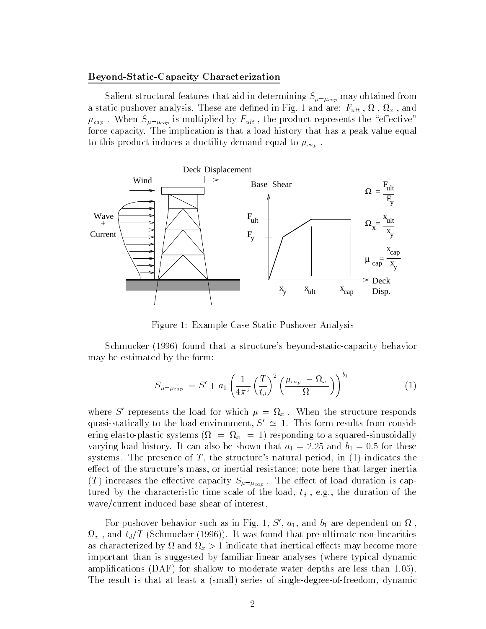#### Beyond-Static-Capacity Characterization

Salient structural features that aid in determining  $S_{\mu=\mu_{cap}}$  may obtained from a static pushed in the distribution of the decline in Fig. 1 and are described in Fig. 1 and 3 and 3 and 3 and  $\mu_{cap}$ . When  $S_{\mu=\mu_{cap}}$  is multiplied by  $F_{ult}$ , the product represents the "effective" force capacity. The implication is that a load history that has a peak value equal to this product induces a ductility demand equal to  $\mu_{cap}$ .



Figure 1: Example Case Static Pushover Analysis

Schmucker (1996) found that a structure's beyond-static-capacity behavior may be estimated by the form:

$$
S_{\mu=\mu_{cap}} = S' + a_1 \left(\frac{1}{4\pi^2} \left(\frac{T}{t_d}\right)^2 \left(\frac{\mu_{cap} - \Omega_x}{\Omega}\right)\right)^{b_1}
$$
 (1)

where S represents the load for which  $\mu = \Omega_x$ . When the structure responds quasi-statically to the load environment,  $S' \simeq 1$ . This form results from considering elasto-plastic systems ( = <sup>x</sup> = 1) responding to a squared-sinusoidally varying load history. It can also be shown that  $a_1 = 2.25$  and  $b_1 = 0.5$  for these systems. The presence of  $T$ , the structure's natural period, in  $(1)$  indicates the effect of the structure's mass, or inertial resistance; note here that larger inertia (T) increases the effective capacity  $S_{\mu=\mu_{cap}}$ . The effect of load duration is captured by the characteristic time scale of the load,  $t_d$ , e.g., the duration of the wave/current induced base shear of interest.

For pushover behavior such as in Fig. 1, 5,  $a_1$ , and  $b_1$  are dependent on  $\Omega$ ,  $\{x \in T \mid \mathcal{S} \text{ and } \mathcal{S} \text{ are finite and } \mathcal{S} \text{ is finite and } \mathcal{S} \text{ is finite.}$ as characterized by the norm  $\mathcal{I}_{\psi}$  by the intertion of the intertions more more  $\mathcal{I}_{\psi}$  is the same more complete important than is suggested by familiar linear analyses (where typical dynamic amplications (DAF) for shallow to moderate water depths are less than 1.05). The result is that at least a (small) series of single-degree-of-freedom, dynamic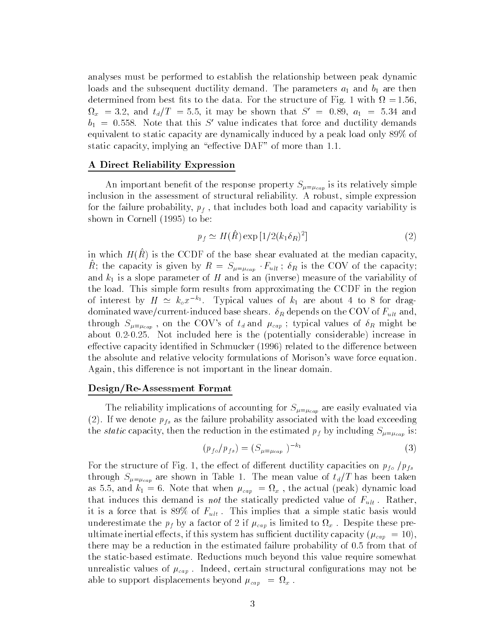analyses must be performed to establish the relationship between peak dynamic loads and the subsequent ductility demand. The parameters  $a_1$  and  $b_1$  are then determined from best ts to the data. For the structure of Fig. 1 with = 1:56,  $x_{x}$  = 5.2, and  $t_{d}/T$  = 5.5, it may be shown that  $S$  = 0.89,  $a_{1}$  = 5.34 and  $b_1 = 0.558$ . Note that this S' value indicates that force and ductility demands equivalent to static capacity are dynamically induced by a peak load only 89% of static capacity, implying an "effective DAF" of more than 1.1.

### A Direct Reliability Expression

An important benefit of the response property  $S_{\mu=\mu_{cap}}$  is its relatively simple inclusion in the assessment of structural reliability. A robust, simple expression for the failure probability,  $p_f$ , that includes both load and capacity variability is shown in Cornell (1995) to be:

$$
p_f \simeq H(\hat{R}) \exp\left[1/2(k_1 \delta_R)^2\right] \tag{2}
$$

in which  $H(t)$  is the CCDF of the base shear evaluated at the median capacity,  $\mu$ , the capacity is given by  $\mu = S_{\mu=\mu_{cap}}$  Fult ;  $v_R$  is the COV of the capacity; and  $k_1$  is a slope parameter of H and is an (inverse) measure of the variability of the load. This simple form results from approximating the CCDF in the region of interest by  $H \simeq \kappa_o x^{-\kappa_1}$ . Typical values of  $\kappa_1$  are about 4 to 8 for dragdominated wave/current-induced base shears.  $\delta_R$  depends on the COV of  $F_{ult}$  and, through  $S_{\mu=\mu_{cap}}$ , on the COV's of  $t_d$  and  $\mu_{cap}$ ; typical values of  $\delta_R$  might be about 0.2-0.25. Not included here is the (potentially considerable) increase in effective capacity identified in Schmucker (1996) related to the difference between the absolute and relative velocity formulations of Morison's wave force equation. Again, this difference is not important in the linear domain.

### Design/Re-Assessment Format

The reliability implications of accounting for  $S_{\mu=\mu_{cap}}$  are easily evaluated via (2). If we denote  $p_{fs}$  as the failure probability associated with the load exceeding the *static* capacity, then the reduction in the estimated  $p_f$  by including  $S_{\mu=\mu_{cap}}$  is:

$$
(p_{f \circ}/p_{f s}) = (S_{\mu = \mu_{cap}})^{-k_1}
$$
 (3)

For the structure of Fig. 1, the effect of different ductility capacities on  $p_{fo}$  / $p_{fs}$ through  $S_{\mu=\mu_{cap}}$  are shown in Table 1. The mean value of  $t_d/T$  has been taken as 5.5, and k1  $^{-1}$  = 6. Note that when capacital  $\rho_{\alpha}(y)$  displays denote a control (peak) dynamics denote that induces this demand is not the statically predicted value of  $F_{ult}$ . Rather, it is a force that is 89% of  $F_{ult}$ . This implies that a simple static basis would underestimate the properties of  $\mathcal{L}$  if  $\mathcal{L}$  is limited to  $\mathcal{L}$  is limited to  $\mathcal{L}$  is limited to  $\mathcal{L}$ ultimate inertial effects, if this system has sufficient ductility capacity ( $\mu_{cap} = 10$ ), there may be a reduction in the estimated failure probability of 0.5 from that of the static-based estimate. Reductions much beyond this value require somewhat unrealistic values of  $\mu_{cap}$ . Indeed, certain structural configurations may not be able to support displacements beyond cap <sup>=</sup><sup>x</sup> .